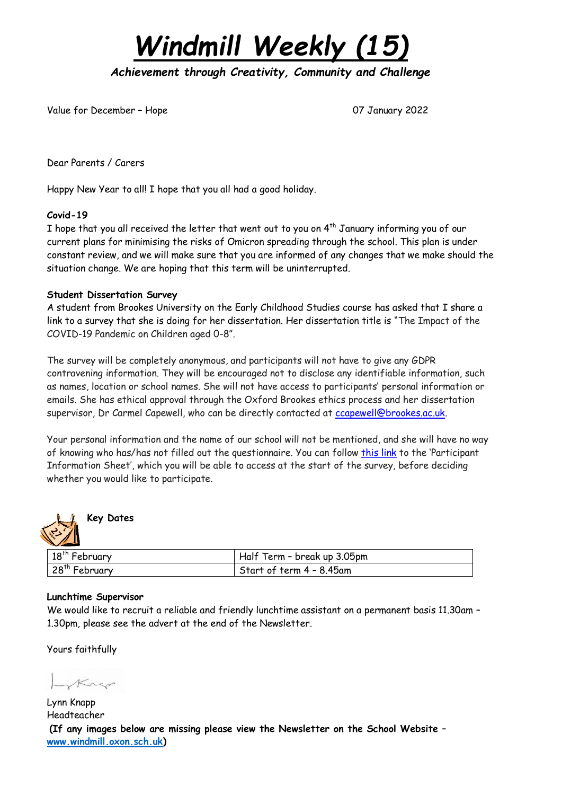*Windmill Weekly (15)*

*Achievement through Creativity, Community and Challenge* 

Value for December – Hope 07 January 2022

Dear Parents / Carers

Happy New Year to all! I hope that you all had a good holiday.

### **Covid-19**

I hope that you all received the letter that went out to you on  $4<sup>th</sup>$  January informing you of our current plans for minimising the risks of Omicron spreading through the school. This plan is under constant review, and we will make sure that you are informed of any changes that we make should the situation change. We are hoping that this term will be uninterrupted.

### **Student Dissertation Survey**

A student from Brookes University on the Early Childhood Studies course has asked that I share a link to a survey that she is doing for her dissertation. Her dissertation title is "The Impact of the COVID-19 Pandemic on Children aged 0-8".

The survey will be completely anonymous, and participants will not have to give any GDPR contravening information. They will be encouraged not to disclose any identifiable information, such as names, location or school names. She will not have access to participants' personal information or emails. She has ethical approval through the Oxford Brookes ethics process and her dissertation supervisor, Dr Carmel Capewell, who can be directly contacted at [ccapewell@brookes.ac.uk.](mailto:ccapewell@brookes.ac.uk)

Your personal information and the name of our school will not be mentioned, and she will have no way of knowing who has/has not filled out the questionnaire. You can follow [this](https://drive.google.com/file/d/1gPWa-YcAwRMpfou3q7QFnjNfhNWt7HZm/view) [link](https://drive.google.com/file/d/1gPWa-YcAwRMpfou3q7QFnjNfhNWt7HZm/view) to the 'Participant Information Sheet', which you will be able to access at the start of the survey, before deciding whether you would like to participate.



### **Key Dates**

| 18 <sup>th</sup> February | Half Term - break up 3.05pm |
|---------------------------|-----------------------------|
| 28 <sup>th</sup> February | Start of term 4 – 8.45am    |

### **Lunchtime Supervisor**

We would like to recruit a reliable and friendly lunchtime assistant on a permanent basis 11.30am – 1.30pm, please see the advert at the end of the Newsletter.

Yours faithfully

Krep

Lynn Knapp Headteacher **(If any images below are missing please view the Newsletter on the School Website – [www.windmill.oxon.sch.uk\)](http://www.windmill.oxon.sch.uk/)**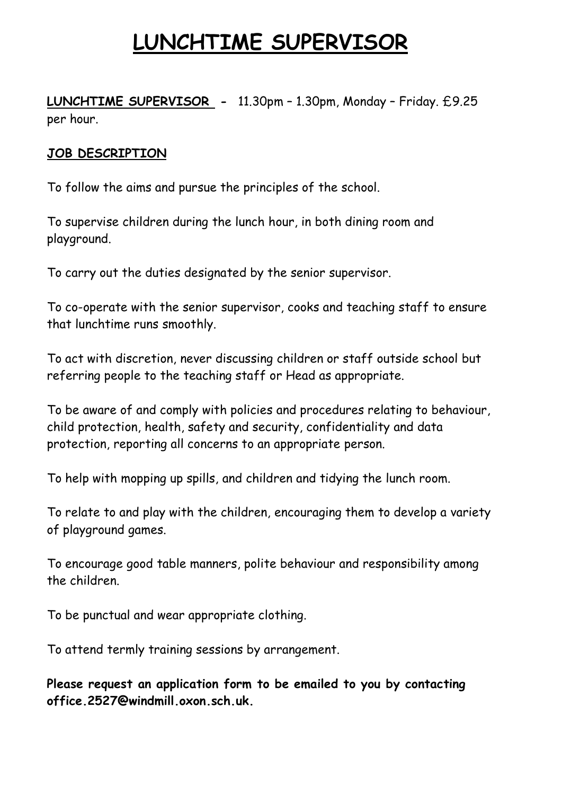# **LUNCHTIME SUPERVISOR**

**LUNCHTIME SUPERVISOR -** 11.30pm – 1.30pm, Monday – Friday. £9.25 per hour.

### **JOB DESCRIPTION**

To follow the aims and pursue the principles of the school.

To supervise children during the lunch hour, in both dining room and playground.

To carry out the duties designated by the senior supervisor.

To co-operate with the senior supervisor, cooks and teaching staff to ensure that lunchtime runs smoothly.

To act with discretion, never discussing children or staff outside school but referring people to the teaching staff or Head as appropriate.

To be aware of and comply with policies and procedures relating to behaviour, child protection, health, safety and security, confidentiality and data protection, reporting all concerns to an appropriate person.

To help with mopping up spills, and children and tidying the lunch room.

To relate to and play with the children, encouraging them to develop a variety of playground games.

To encourage good table manners, polite behaviour and responsibility among the children.

To be punctual and wear appropriate clothing.

To attend termly training sessions by arrangement.

**Please request an application form to be emailed to you by contacting office.2527@windmill.oxon.sch.uk.**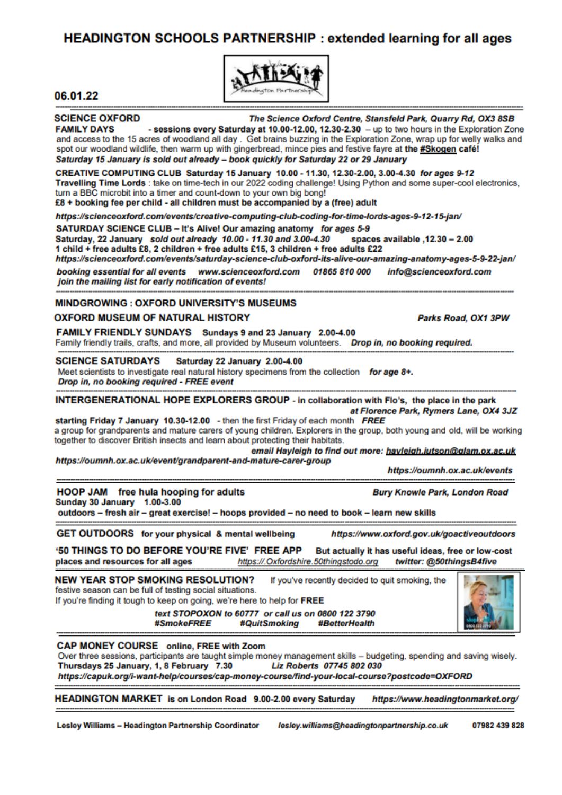### **HEADINGTON SCHOOLS PARTNERSHIP: extended learning for all ages**



#### 06.01.22

**SCIENCE OXFORD** The Science Oxford Centre, Stansfeld Park, Quarry Rd, OX3 8SB

**FAMILY DAYS** - sessions every Saturday at 10.00-12.00, 12.30-2.30 - up to two hours in the Exploration Zone and access to the 15 acres of woodland all day. Get brains buzzing in the Exploration Zone, wrap up for welly walks and spot our woodland wildlife, then warm up with gingerbread, mince pies and festive fayre at the #Skogen café! Saturday 15 January is sold out already - book quickly for Saturday 22 or 29 January

CREATIVE COMPUTING CLUB Saturday 15 January 10.00 - 11.30, 12.30-2.00, 3.00-4.30 for ages 9-12 Travelling Time Lords : take on time-tech in our 2022 coding challenge! Using Python and some super-cool electronics. turn a BBC microbit into a timer and count-down to your own big bong! £8 + booking fee per child - all children must be accompanied by a (free) adult

https://scienceoxford.com/events/creative-computing-club-coding-for-time-lords-ages-9-12-15-jan/

SATURDAY SCIENCE CLUB - It's Alive! Our amazing anatomy for ages 5-9

Saturday, 22 January sold out already 10.00 - 11.30 and 3.00-4.30 spaces available .12.30 - 2.00 1 child + free adults £8, 2 children + free adults £15, 3 children + free adults £22

https://scienceoxford.com/events/saturday-science-club-oxford-its-alive-our-amazing-anatomy-ages-5-9-22-jan/

booking essential for all events www.scienceoxford.com 01865 810 000 info@scienceoxford.com join the mailing list for early notification of events!

#### **MINDGROWING: OXFORD UNIVERSITY'S MUSEUMS**

#### **OXFORD MUSEUM OF NATURAL HISTORY**

FAMILY FRIENDLY SUNDAYS Sundays 9 and 23 January 2.00-4.00

Family friendly trails, crafts, and more, all provided by Museum volunteers. Drop in, no booking required.

#### **SCIENCE SATURDAYS** Saturday 22 January 2.00-4.00

Meet scientists to investigate real natural history specimens from the collection for age 8+. Drop in, no booking required - FREE event

INTERGENERATIONAL HOPE EXPLORERS GROUP - in collaboration with Flo's, the place in the park

at Florence Park, Rymers Lane, OX4 3JZ starting Friday 7 January 10.30-12.00 - then the first Friday of each month FREE a group for grandparents and mature carers of young children. Explorers in the group, both young and old, will be working together to discover British insects and learn about protecting their habitats.

email Havleigh to find out more: havleigh.jutson@glam.ox.ac.uk

https://oumnh.ox.ac.uk/event/grandparent-and-mature-carer-group

https://oumnh.ox.ac.uk/events

Parks Road, OX1 3PW

**HOOP JAM** free hula hooping for adults **Bury Knowle Park, London Road** Sunday 30 January 1.00-3.00

outdoors - fresh air - great exercise! - hoops provided - no need to book - learn new skills

**GET OUTDOORS** for your physical & mental wellbeing https://www.oxford.gov.uk/goactiveoutdoors

'50 THINGS TO DO BEFORE YOU'RE FIVE' FREE APP But actually it has useful ideas, free or low-cost places and resources for all ages twitter: @50thingsB4five https://.Oxfordshire.50thingstodo.org

**NEW YEAR STOP SMOKING RESOLUTION?** If you've recently decided to quit smoking, the festive season can be full of testing social situations. If you're finding it tough to keep on going, we're here to help for FREE

text STOPOXON to 60777 or call us on 0800 122 3790 #SmokeFREE #QuitSmoking #BetterHealth



**CAP MONEY COURSE** online, FREE with Zoom

Over three sessions, participants are taught simple money management skills - budgeting, spending and saving wisely. Thursdays 25 January, 1, 8 February 7.30 Liz Roberts 07745 802 030

https://capuk.org/i-want-help/courses/cap-money-course/find-your-local-course?postcode=OXFORD

HEADINGTON MARKET is on London Road 9.00-2.00 every Saturday https://www.headingtonmarket.org/

Lesley Williams - Headington Partnership Coordinator

lesley.williams@headingtonpartnership.co.uk